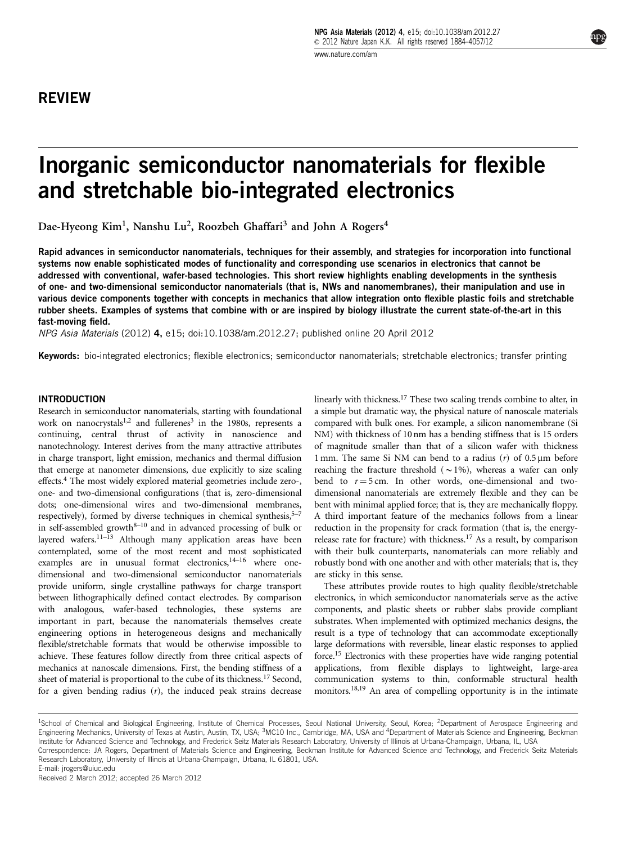# REVIEW

# Inorganic semiconductor nanomaterials for flexible and stretchable bio-integrated electronics

Dae-Hyeong Kim<sup>1</sup>, Nanshu Lu<sup>2</sup>, Roozbeh Ghaffari<sup>3</sup> and John A Rogers<sup>4</sup>

Rapid advances in semiconductor nanomaterials, techniques for their assembly, and strategies for incorporation into functional systems now enable sophisticated modes of functionality and corresponding use scenarios in electronics that cannot be addressed with conventional, wafer-based technologies. This short review highlights enabling developments in the synthesis of one- and two-dimensional semiconductor nanomaterials (that is, NWs and nanomembranes), their manipulation and use in various device components together with concepts in mechanics that allow integration onto flexible plastic foils and stretchable rubber sheets. Examples of systems that combine with or are inspired by biology illustrate the current state-of-the-art in this fast-moving field.

NPG Asia Materials (2012) 4, e15; doi[:10.1038/am.2012.27](http://dx.doi.org/10.1038/am.2012.27); published online 20 April 2012

Keywords: bio-integrated electronics; flexible electronics; semiconductor nanomaterials; stretchable electronics; transfer printing

#### **INTRODUCTION**

Research in semiconductor nanomaterials, starting with foundational work on nanocrystals $1,2$  and fullerenes<sup>3</sup> in the 1980s, represents a continuing, central thrust of activity in nanoscience and nanotechnology. Interest derives from the many attractive attributes in charge transport, light emission, mechanics and thermal diffusion that emerge at nanometer dimensions, due explicitly to size scaling effects.[4](#page-5-0) The most widely explored material geometries include zero-, one- and two-dimensional configurations (that is, zero-dimensional dots; one-dimensional wires and two-dimensional membranes, respectively), formed by diverse techniques in chemical synthesis, $5-7$ in self-assembled growth $8-10$  and in advanced processing of bulk or layered wafers.<sup>11-13</sup> Although many application areas have been contemplated, some of the most recent and most sophisticated examples are in unusual format electronics,  $14-16$  where onedimensional and two-dimensional semiconductor nanomaterials provide uniform, single crystalline pathways for charge transport between lithographically defined contact electrodes. By comparison with analogous, wafer-based technologies, these systems are important in part, because the nanomaterials themselves create engineering options in heterogeneous designs and mechanically flexible/stretchable formats that would be otherwise impossible to achieve. These features follow directly from three critical aspects of mechanics at nanoscale dimensions. First, the bending stiffness of a sheet of material is proportional to the cube of its thickness.<sup>[17](#page-6-0)</sup> Second, for a given bending radius  $(r)$ , the induced peak strains decrease linearly with thickness.<sup>[17](#page-6-0)</sup> These two scaling trends combine to alter, in a simple but dramatic way, the physical nature of nanoscale materials compared with bulk ones. For example, a silicon nanomembrane (Si NM) with thickness of 10 nm has a bending stiffness that is 15 orders of magnitude smaller than that of a silicon wafer with thickness 1 mm. The same Si NM can bend to a radius  $(r)$  of 0.5  $\mu$ m before reaching the fracture threshold ( $\sim$ 1%), whereas a wafer can only bend to  $r = 5$  cm. In other words, one-dimensional and twodimensional nanomaterials are extremely flexible and they can be bent with minimal applied force; that is, they are mechanically floppy. A third important feature of the mechanics follows from a linear reduction in the propensity for crack formation (that is, the energyrelease rate for fracture) with thickness[.17](#page-6-0) As a result, by comparison with their bulk counterparts, nanomaterials can more reliably and robustly bond with one another and with other materials; that is, they are sticky in this sense.

These attributes provide routes to high quality flexible/stretchable electronics, in which semiconductor nanomaterials serve as the active components, and plastic sheets or rubber slabs provide compliant substrates. When implemented with optimized mechanics designs, the result is a type of technology that can accommodate exceptionally large deformations with reversible, linear elastic responses to applied force[.15](#page-6-0) Electronics with these properties have wide ranging potential applications, from flexible displays to lightweight, large-area communication systems to thin, conformable structural health monitors[.18,19](#page-6-0) An area of compelling opportunity is in the intimate

E-mail: [jrogers@uiuc.edu](mailto:<italic>jrogers@uiuc.edu</italic>.3d)

<sup>&</sup>lt;sup>1</sup>School of Chemical and Biological Engineering, Institute of Chemical Processes, Seoul National University, Seoul, Korea; <sup>2</sup>Department of Aerospace Engineering and Engineering Mechanics, University of Texas at Austin, Austin, TX, USA; 3MC10 Inc., Cambridge, MA, USA and 4Department of Materials Science and Engineering, Beckman Institute for Advanced Science and Technology, and Frederick Seitz Materials Research Laboratory, University of Illinois at Urbana-Champaign, Urbana, IL, USA Correspondence: JA Rogers, Department of Materials Science and Engineering, Beckman Institute for Advanced Science and Technology, and Frederick Seitz Materials

Research Laboratory, University of Illinois at Urbana-Champaign, Urbana, IL 61801, USA.

Received 2 March 2012; accepted 26 March 2012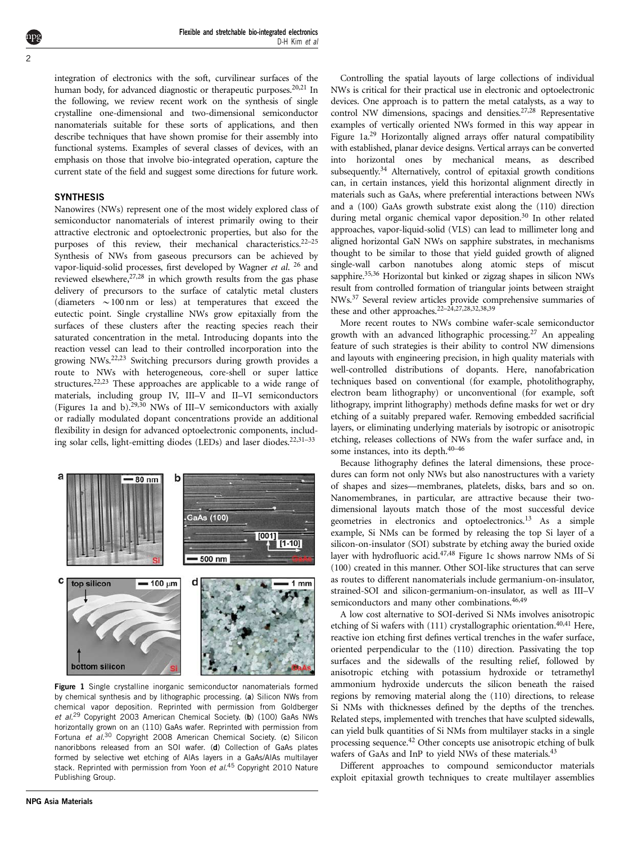integration of electronics with the soft, curvilinear surfaces of the human body, for advanced diagnostic or therapeutic purposes.<sup>[20,21](#page-6-0)</sup> In the following, we review recent work on the synthesis of single crystalline one-dimensional and two-dimensional semiconductor nanomaterials suitable for these sorts of applications, and then describe techniques that have shown promise for their assembly into functional systems. Examples of several classes of devices, with an emphasis on those that involve bio-integrated operation, capture the current state of the field and suggest some directions for future work.

### **SYNTHESIS**

Nanowires (NWs) represent one of the most widely explored class of semiconductor nanomaterials of interest primarily owing to their attractive electronic and optoelectronic properties, but also for the purposes of this review, their mechanical characteristics.<sup>22-25</sup> Synthesis of NWs from gaseous precursors can be achieved by vapor-liquid-solid processes, first developed by Wagner *et al.*  $^{26}$  $^{26}$  $^{26}$  and reviewed elsewhere,  $27,28$  in which growth results from the gas phase delivery of precursors to the surface of catalytic metal clusters (diameters  $\sim$  100 nm or less) at temperatures that exceed the eutectic point. Single crystalline NWs grow epitaxially from the surfaces of these clusters after the reacting species reach their saturated concentration in the metal. Introducing dopants into the reaction vessel can lead to their controlled incorporation into the growing NWs.22,23 Switching precursors during growth provides a route to NWs with heterogeneous, core-shell or super lattice structures.2[2,23](#page-6-0) These approaches are applicable to a wide range of materials, including group IV, III–V and II–VI semiconductors (Figures 1a and b).<sup>29,30</sup> NWs of III–V semiconductors with axially or radially modulated dopant concentrations provide an additional flexibility in design for advanced optoelectronic components, including solar cells, light-emitting diodes (LEDs) and laser diodes.[22,31–33](#page-6-0)



Figure 1 Single crystalline inorganic semiconductor nanomaterials formed by chemical synthesis and by lithographic processing. (a) Silicon NWs from chemical vapor deposition. Reprinted with permission from Goldberger et al.<sup>[29](#page-6-0)</sup> Copyright 2003 American Chemical Society. (b) (100) GaAs NWs horizontally grown on an (110) GaAs wafer. Reprinted with permission from Fortuna et al.<sup>[30](#page-6-0)</sup> Copyright 2008 American Chemical Society. (c) Silicon nanoribbons released from an SOI wafer. (d) Collection of GaAs plates formed by selective wet etching of AlAs layers in a GaAs/AlAs multilayer stack. Reprinted with permission from Yoon et al.<sup>[45](#page-6-0)</sup> Copyright 2010 Nature Publishing Group.

Controlling the spatial layouts of large collections of individual NWs is critical for their practical use in electronic and optoelectronic devices. One approach is to pattern the metal catalysts, as a way to control NW dimensions, spacings and densities.<sup>27,28</sup> Representative examples of vertically oriented NWs formed in this way appear in Figure 1a.<sup>29</sup> Horizontally aligned arrays offer natural compatibility with established, planar device designs. Vertical arrays can be converted into horizontal ones by mechanical means, as described subsequently.<sup>34</sup> Alternatively, control of epitaxial growth conditions can, in certain instances, yield this horizontal alignment directly in materials such as GaAs, where preferential interactions between NWs and a (100) GaAs growth substrate exist along the (110) direction during metal organic chemical vapor deposition.<sup>30</sup> In other related approaches, vapor-liquid-solid (VLS) can lead to millimeter long and aligned horizontal GaN NWs on sapphire substrates, in mechanisms thought to be similar to those that yield guided growth of aligned single-wall carbon nanotubes along atomic steps of miscut sapphire.<sup>35,36</sup> Horizontal but kinked or zigzag shapes in silicon NWs result from controlled formation of triangular joints between straight NWs[.37](#page-6-0) Several review articles provide comprehensive summaries of these and other approaches[.22–24,27,28,32,38,39](#page-6-0)

More recent routes to NWs combine wafer-scale semiconductor growth with an advanced lithographic processing.<sup>27</sup> An appealing feature of such strategies is their ability to control NW dimensions and layouts with engineering precision, in high quality materials with well-controlled distributions of dopants. Here, nanofabrication techniques based on conventional (for example, photolithography, electron beam lithography) or unconventional (for example, soft lithograpy, imprint lithography) methods define masks for wet or dry etching of a suitably prepared wafer. Removing embedded sacrificial layers, or eliminating underlying materials by isotropic or anisotropic etching, releases collections of NWs from the wafer surface and, in some instances, into its depth.<sup>40-46</sup>

Because lithography defines the lateral dimensions, these procedures can form not only NWs but also nanostructures with a variety of shapes and sizes—membranes, platelets, disks, bars and so on. Nanomembranes, in particular, are attractive because their twodimensional layouts match those of the most successful device geometries in electronics and optoelectronics[.13](#page-6-0) As a simple example, Si NMs can be formed by releasing the top Si layer of a silicon-on-insulator (SOI) substrate by etching away the buried oxide layer with hydrofluoric acid[.47,48](#page-6-0) Figure 1c shows narrow NMs of Si (100) created in this manner. Other SOI-like structures that can serve as routes to different nanomaterials include germanium-on-insulator, strained-SOI and silicon-germanium-on-insulator, as well as III–V semiconductors and many other combinations.<sup>[46,49](#page-6-0)</sup>

A low cost alternative to SOI-derived Si NMs involves anisotropic etching of Si wafers with (111) crystallographic orientation.<sup>40,41</sup> Here, reactive ion etching first defines vertical trenches in the wafer surface, oriented perpendicular to the (110) direction. Passivating the top surfaces and the sidewalls of the resulting relief, followed by anisotropic etching with potassium hydroxide or tetramethyl ammonium hydroxide undercuts the silicon beneath the raised regions by removing material along the (110) directions, to release Si NMs with thicknesses defined by the depths of the trenches. Related steps, implemented with trenches that have sculpted sidewalls, can yield bulk quantities of Si NMs from multilayer stacks in a single processing sequence[.42](#page-6-0) Other concepts use anisotropic etching of bulk wafers of GaAs and InP to yield NWs of these materials.<sup>[43](#page-6-0)</sup>

Different approaches to compound semiconductor materials exploit epitaxial growth techniques to create multilayer assemblies

<span id="page-1-0"></span>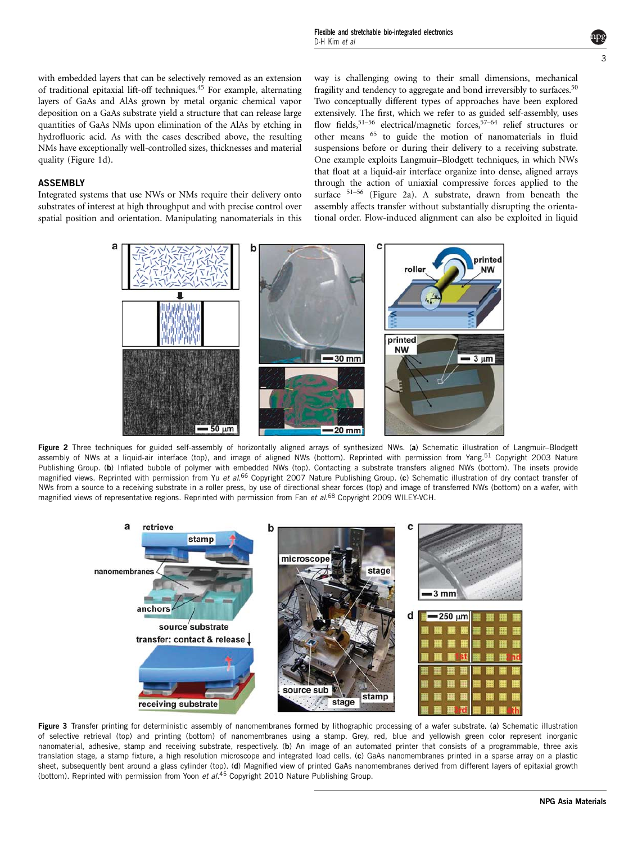Flexible and stretchable bio-integrated electronics D-H Kim et al

<span id="page-2-0"></span>with embedded layers that can be selectively removed as an extension of traditional epitaxial lift-off techniques.[45](#page-6-0) For example, alternating layers of GaAs and AlAs grown by metal organic chemical vapor deposition on a GaAs substrate yield a structure that can release large quantities of GaAs NMs upon elimination of the AlAs by etching in hydrofluoric acid. As with the cases described above, the resulting NMs have exceptionally well-controlled sizes, thicknesses and material quality ([Figure 1d\).](#page-1-0)

## ASSEMBLY

Integrated systems that use NWs or NMs require their delivery onto substrates of interest at high throughput and with precise control over spatial position and orientation. Manipulating nanomaterials in this way is challenging owing to their small dimensions, mechanical fragility and tendency to aggregate and bond irreversibly to surfaces.<sup>[50](#page-6-0)</sup> Two conceptually different types of approaches have been explored extensively. The first, which we refer to as guided self-assembly, uses flow fields,<sup>51–56</sup> electrical/magnetic forces,<sup>57–64</sup> relief structures or other means [65](#page-6-0) to guide the motion of nanomaterials in fluid suspensions before or during their delivery to a receiving substrate. One example exploits Langmuir–Blodgett techniques, in which NWs that float at a liquid-air interface organize into dense, aligned arrays through the action of uniaxial compressive forces applied to the surface [51–56](#page-6-0) (Figure 2a). A substrate, drawn from beneath the assembly affects transfer without substantially disrupting the orientational order. Flow-induced alignment can also be exploited in liquid



Figure 2 Three techniques for guided self-assembly of horizontally aligned arrays of synthesized NWs. (a) Schematic illustration of Langmuir–Blodgett assembly of NWs at a liquid-air interface (top), and image of aligned NWs (bottom). Reprinted with permission from Yang.<sup>[51](#page-6-0)</sup> Copyright 2003 Nature Publishing Group. (b) Inflated bubble of polymer with embedded NWs (top). Contacting a substrate transfers aligned NWs (bottom). The insets provide magnified views. Reprinted with permission from Yu et al.<sup>[66](#page-6-0)</sup> Copyright 2007 Nature Publishing Group. (c) Schematic illustration of dry contact transfer of NWs from a source to a receiving substrate in a roller press, by use of directional shear forces (top) and image of transferred NWs (bottom) on a wafer, with magnified views of representative regions. Reprinted with permission from Fan et al.<sup>[68](#page-6-0)</sup> Copyright 2009 WILEY-VCH.



Figure 3 Transfer printing for deterministic assembly of nanomembranes formed by lithographic processing of a wafer substrate. (a) Schematic illustration of selective retrieval (top) and printing (bottom) of nanomembranes using a stamp. Grey, red, blue and yellowish green color represent inorganic nanomaterial, adhesive, stamp and receiving substrate, respectively. (b) An image of an automated printer that consists of a programmable, three axis translation stage, a stamp fixture, a high resolution microscope and integrated load cells. (c) GaAs nanomembranes printed in a sparse array on a plastic sheet, subsequently bent around a glass cylinder (top). (d) Magnified view of printed GaAs nanomembranes derived from different layers of epitaxial growth (bottom). Reprinted with permission from Yoon et  $al^{45}$  $al^{45}$  $al^{45}$  Copyright 2010 Nature Publishing Group.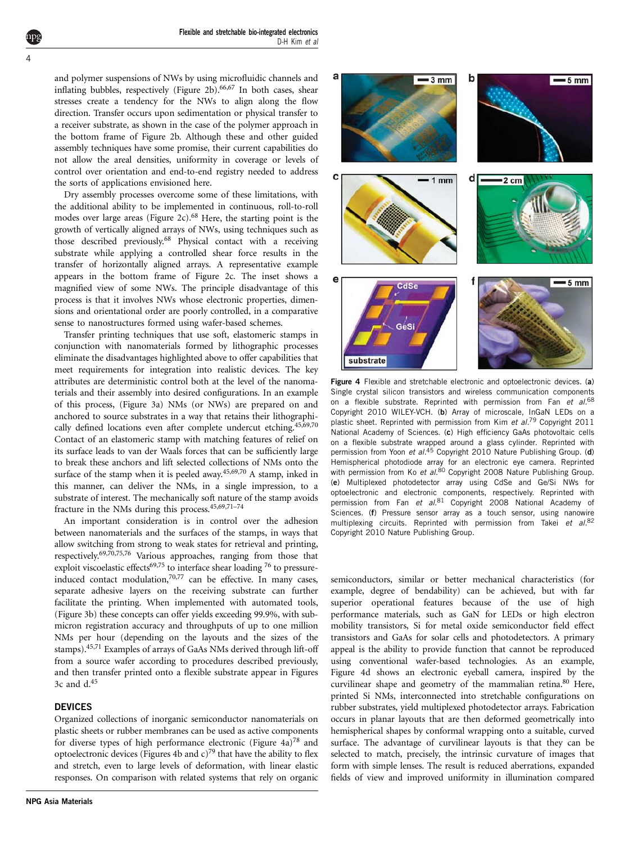[and polymer suspensions of NWs by using microfluidic channels and](#page-2-0) [inflating bubbles, respectively \(Figure 2b\).](#page-2-0)[66,67](#page-6-0) In both cases, shear stresses create a tendency for the NWs to align along the flow direction. Transfer occurs upon sedimentation or physical transfer to a receiver substrate, as shown in the case of the polymer approach in the bottom frame of [Figure 2b. Although these and other guided](#page-2-0) [assembly techniques have some promise, their current capabilities do](#page-2-0) [not allow the areal densities, uniformity in coverage or levels of](#page-2-0) [control over orientation and end-to-end registry needed to address](#page-2-0) [the sorts of applications envisioned here.](#page-2-0)

Dry assembly processes overcome some of these limitations, with the additional ability to be implemented in continuous, roll-to-roll modes over large areas [\(Figure 2c\).](#page-2-0)<sup>[68](#page-6-0)</sup> Here, the starting point is the growth of vertically aligned arrays of NWs, using techniques such as those described previously.[68](#page-6-0) Physical contact with a receiving substrate while applying a controlled shear force results in the transfer of horizontally aligned arrays. A representative example appears in the bottom frame of [Figure 2c. The inset shows a](#page-2-0) [magnified view of some NWs. The principle disadvantage of this](#page-2-0) [process is that it involves NWs whose electronic properties, dimen](#page-2-0)[sions and orientational order are poorly controlled, in a comparative](#page-2-0) [sense to nanostructures formed using wafer-based schemes.](#page-2-0)

Transfer printing techniques that use soft, elastomeric stamps in conjunction with nanomaterials formed by lithographic processes eliminate the disadvantages highlighted above to offer capabilities that meet requirements for integration into realistic devices. The key attributes are deterministic control both at the level of the nanomaterials and their assembly into desired configurations. In an example of this process, ([Figure 3a\) NMs \(or NWs\) are prepared on and](#page-2-0) [anchored to source substrates in a way that retains their lithographi](#page-2-0)[cally defined locations even after complete undercut etching.](#page-2-0) $45,69,70$ Contact of an elastomeric stamp with matching features of relief on its surface leads to van der Waals forces that can be sufficiently large to break these anchors and lift selected collections of NMs onto the surface of the stamp when it is peeled away.<sup>[45,69,70](#page-6-0)</sup> A stamp, inked in this manner, can deliver the NMs, in a single impression, to a substrate of interest. The mechanically soft nature of the stamp avoids fracture in the NMs during this process.[45,69,71–74](#page-6-0)

An important consideration is in control over the adhesion between nanomaterials and the surfaces of the stamps, in ways that allow switching from strong to weak states for retrieval and printing, respectively[.69,70,75,76](#page-6-0) Various approaches, ranging from those that exploit viscoelastic effects<sup>69,75</sup> to interface shear loading <sup>[76](#page-7-0)</sup> to pressureinduced contact modulation, $70,77$  can be effective. In many cases, separate adhesive layers on the receiving substrate can further facilitate the printing. When implemented with automated tools, ([Figure 3b\) these concepts can offer yields exceeding 99.9%, with sub](#page-2-0)[micron registration accuracy and throughputs of up to one million](#page-2-0) [NMs per hour \(depending on the layouts and the sizes of the](#page-2-0) [stamps\).](#page-2-0)[45,71](#page-6-0) Examples of arrays of GaAs NMs derived through lift-off from a source wafer according to procedures described previously, and then transfer printed onto a flexible substrate appear in [Figures](#page-2-0)  $3c$  and  $d.45$  $d.45$ 

### DEVICES

Organized collections of inorganic semiconductor nanomaterials on plastic sheets or rubber membranes can be used as active components for diverse types of high performance electronic (Figure  $4a$ )<sup>[78](#page-7-0)</sup> and optoelectronic devices (Figures 4b and  $c$ )<sup>79</sup> that have the ability to flex and stretch, even to large levels of deformation, with linear elastic responses. On comparison with related systems that rely on organic



Figure 4 Flexible and stretchable electronic and optoelectronic devices. (a) Single crystal silicon transistors and wireless communication components on a flexible substrate. Reprinted with permission from Fan et al.<sup>[68](#page-6-0)</sup> Copyright 2010 WILEY-VCH. (b) Array of microscale, InGaN LEDs on a plastic sheet. Reprinted with permission from Kim et  $al^{79}$  $al^{79}$  $al^{79}$  Copyright 2011 National Academy of Sciences. (c) High efficiency GaAs photovoltaic cells on a flexible substrate wrapped around a glass cylinder. Reprinted with permission from Yoon et al.<sup>[45](#page-6-0)</sup> Copyright 2010 Nature Publishing Group. (d) Hemispherical photodiode array for an electronic eye camera. Reprinted with permission from Ko et al.<sup>[80](#page-7-0)</sup> Copyright 2008 Nature Publishing Group. (e) Multiplexed photodetector array using CdSe and Ge/Si NWs for optoelectronic and electronic components, respectively. Reprinted with permission from Fan et al.<sup>[81](#page-7-0)</sup> Copyright 2008 National Academy of Sciences. (f) Pressure sensor array as a touch sensor, using nanowire multiplexing circuits. Reprinted with permission from Takei et al.[82](#page-7-0) Copyright 2010 Nature Publishing Group.

semiconductors, similar or better mechanical characteristics (for example, degree of bendability) can be achieved, but with far superior operational features because of the use of high performance materials, such as GaN for LEDs or high electron mobility transistors, Si for metal oxide semiconductor field effect transistors and GaAs for solar cells and photodetectors. A primary appeal is the ability to provide function that cannot be reproduced using conventional wafer-based technologies. As an example, Figure 4d shows an electronic eyeball camera, inspired by the curvilinear shape and geometry of the mammalian retina.<sup>80</sup> Here, printed Si NMs, interconnected into stretchable configurations on rubber substrates, yield multiplexed photodetector arrays. Fabrication occurs in planar layouts that are then deformed geometrically into hemispherical shapes by conformal wrapping onto a suitable, curved surface. The advantage of curvilinear layouts is that they can be selected to match, precisely, the intrinsic curvature of images that form with simple lenses. The result is reduced aberrations, expanded fields of view and improved uniformity in illumination compared

<span id="page-3-0"></span>4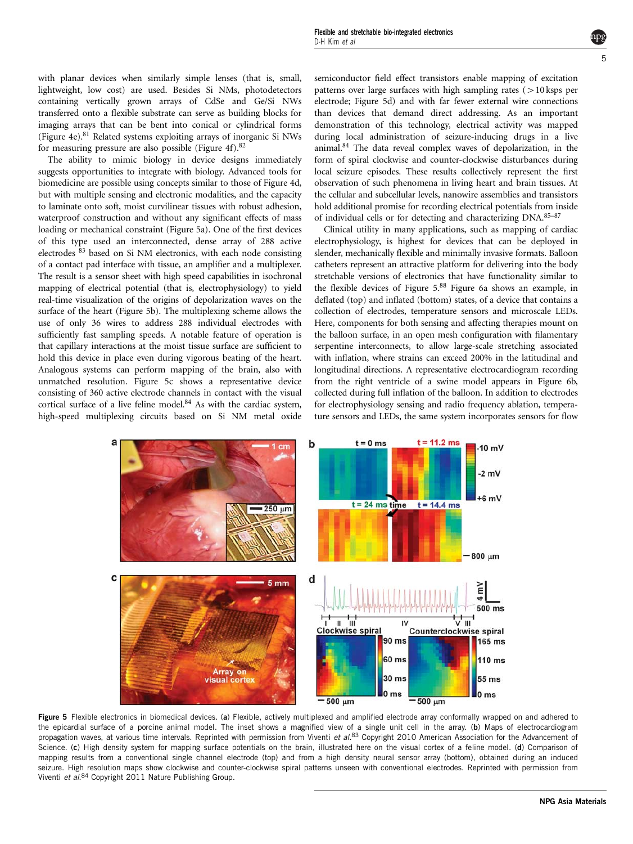with planar devices when similarly simple lenses (that is, small, lightweight, low cost) are used. Besides Si NMs, photodetectors containing vertically grown arrays of CdSe and Ge/Si NWs transferred onto a flexible substrate can serve as building blocks for imaging arrays that can be bent into conical or cylindrical forms [\(Figure 4e\).](#page-3-0)[81](#page-7-0) Related systems exploiting arrays of inorganic Si NWs for measuring pressure are also possible ([Figure 4f\).](#page-3-0)[82](#page-7-0)

The ability to mimic biology in device designs immediately suggests opportunities to integrate with biology. Advanced tools for biomedicine are possible using concepts similar to those of [Figure 4d,](#page-3-0) [but with multiple sensing and electronic modalities, and the capacity](#page-3-0) [to laminate onto soft, moist curvilinear tissues with robust adhesion,](#page-3-0) [waterproof construction and without any significant effects of mass](#page-3-0) loading or mechanical constraint (Figure 5a). One of the first devices of this type used an interconnected, dense array of 288 active electrodes  $83$  based on Si NM electronics, with each node consisting of a contact pad interface with tissue, an amplifier and a multiplexer. The result is a sensor sheet with high speed capabilities in isochronal mapping of electrical potential (that is, electrophysiology) to yield real-time visualization of the origins of depolarization waves on the surface of the heart (Figure 5b). The multiplexing scheme allows the use of only 36 wires to address 288 individual electrodes with sufficiently fast sampling speeds. A notable feature of operation is that capillary interactions at the moist tissue surface are sufficient to hold this device in place even during vigorous beating of the heart. Analogous systems can perform mapping of the brain, also with unmatched resolution. Figure 5c shows a representative device consisting of 360 active electrode channels in contact with the visual cortical surface of a live feline model.<sup>[84](#page-7-0)</sup> As with the cardiac system, high-speed multiplexing circuits based on Si NM metal oxide semiconductor field effect transistors enable mapping of excitation patterns over large surfaces with high sampling rates  $(>10 \text{ ksys per})$ electrode; Figure 5d) and with far fewer external wire connections than devices that demand direct addressing. As an important demonstration of this technology, electrical activity was mapped during local administration of seizure-inducing drugs in a live animal[.84](#page-7-0) The data reveal complex waves of depolarization, in the form of spiral clockwise and counter-clockwise disturbances during local seizure episodes. These results collectively represent the first observation of such phenomena in living heart and brain tissues. At the cellular and subcellular levels, nanowire assemblies and transistors hold additional promise for recording electrical potentials from inside of individual cells or for detecting and characterizing DNA[.85–87](#page-7-0)

Clinical utility in many applications, such as mapping of cardiac electrophysiology, is highest for devices that can be deployed in slender, mechanically flexible and minimally invasive formats. Balloon catheters represent an attractive platform for delivering into the body stretchable versions of electronics that have functionality similar to the flexible devices of Figure 5.[88](#page-7-0) [Figure 6a shows an example, in](#page-5-0) [deflated \(top\) and inflated \(bottom\) states, of a device that contains a](#page-5-0) [collection of electrodes, temperature sensors and microscale LEDs.](#page-5-0) [Here, components for both sensing and affecting therapies mount on](#page-5-0) [the balloon surface, in an open mesh configuration with filamentary](#page-5-0) [serpentine interconnects, to allow large-scale stretching associated](#page-5-0) [with inflation, where strains can exceed 200% in the latitudinal and](#page-5-0) [longitudinal directions. A representative electrocardiogram recording](#page-5-0) [from the right ventricle of a swine model appears in Figure 6b,](#page-5-0) [collected during full inflation of the balloon. In addition to electrodes](#page-5-0) [for electrophysiology sensing and radio frequency ablation, tempera](#page-5-0)[ture sensors and LEDs, the same system incorporates sensors for flow](#page-5-0)



Figure 5 Flexible electronics in biomedical devices. (a) Flexible, actively multiplexed and amplified electrode array conformally wrapped on and adhered to the epicardial surface of a porcine animal model. The inset shows a magnified view of a single unit cell in the array. (b) Maps of electrocardiogram propagation waves, at various time intervals. Reprinted with permission from Viventi et al.[83](#page-7-0) Copyright 2010 American Association for the Advancement of Science. (c) High density system for mapping surface potentials on the brain, illustrated here on the visual cortex of a feline model. (d) Comparison of mapping results from a conventional single channel electrode (top) and from a high density neural sensor array (bottom), obtained during an induced seizure. High resolution maps show clockwise and counter-clockwise spiral patterns unseen with conventional electrodes. Reprinted with permission from Viventi et al.[84](#page-7-0) Copyright 2011 Nature Publishing Group.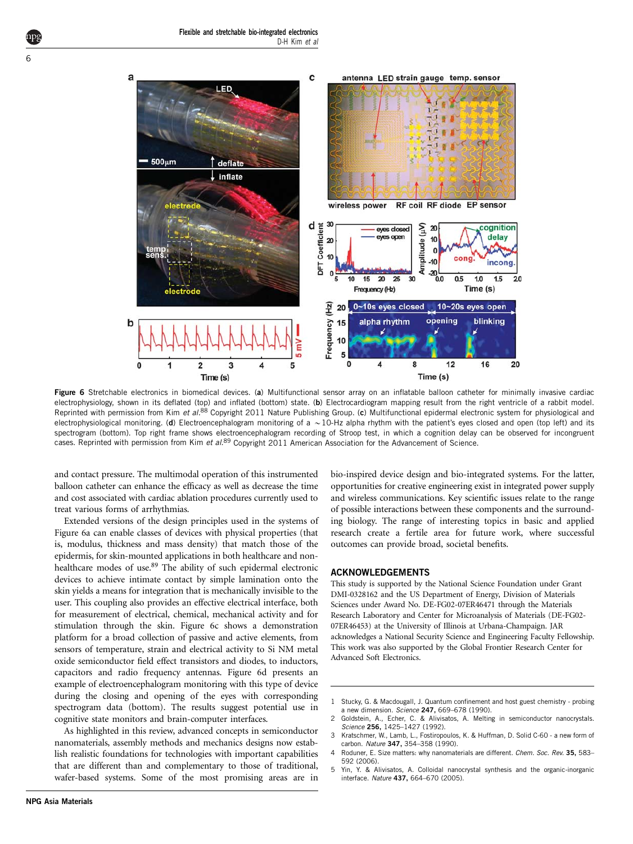<span id="page-5-0"></span>

Figure 6 Stretchable electronics in biomedical devices. (a) Multifunctional sensor array on an inflatable balloon catheter for minimally invasive cardiac electrophysiology, shown in its deflated (top) and inflated (bottom) state. (b) Electrocardiogram mapping result from the right ventricle of a rabbit model. Reprinted with permission from Kim et al.[88](#page-7-0) Copyright 2011 Nature Publishing Group. (c) Multifunctional epidermal electronic system for physiological and electrophysiological monitoring. (d) Electroencephalogram monitoring of a  $\sim 10$ -Hz alpha rhythm with the patient's eyes closed and open (top left) and its spectrogram (bottom). Top right frame shows electroencephalogram recording of Stroop test, in which a cognition delay can be observed for incongruent cases. Reprinted with permission from Kim et al.[89](#page-7-0) Copyright 2011 American Association for the Advancement of Science.

and contact pressure. The multimodal operation of this instrumented balloon catheter can enhance the efficacy as well as decrease the time and cost associated with cardiac ablation procedures currently used to treat various forms of arrhythmias.

Extended versions of the design principles used in the systems of Figure 6a can enable classes of devices with physical properties (that is, modulus, thickness and mass density) that match those of the epidermis, for skin-mounted applications in both healthcare and nonhealthcare modes of use.<sup>89</sup> The ability of such epidermal electronic devices to achieve intimate contact by simple lamination onto the skin yields a means for integration that is mechanically invisible to the user. This coupling also provides an effective electrical interface, both for measurement of electrical, chemical, mechanical activity and for stimulation through the skin. Figure 6c shows a demonstration platform for a broad collection of passive and active elements, from sensors of temperature, strain and electrical activity to Si NM metal oxide semiconductor field effect transistors and diodes, to inductors, capacitors and radio frequency antennas. Figure 6d presents an example of electroencephalogram monitoring with this type of device during the closing and opening of the eyes with corresponding spectrogram data (bottom). The results suggest potential use in cognitive state monitors and brain-computer interfaces.

As highlighted in this review, advanced concepts in semiconductor nanomaterials, assembly methods and mechanics designs now establish realistic foundations for technologies with important capabilities that are different than and complementary to those of traditional, wafer-based systems. Some of the most promising areas are in

NPG Asia Materials

bio-inspired device design and bio-integrated systems. For the latter, opportunities for creative engineering exist in integrated power supply and wireless communications. Key scientific issues relate to the range of possible interactions between these components and the surrounding biology. The range of interesting topics in basic and applied research create a fertile area for future work, where successful outcomes can provide broad, societal benefits.

#### ACKNOWLEDGEMENTS

This study is supported by the National Science Foundation under Grant DMI-0328162 and the US Department of Energy, Division of Materials Sciences under Award No. DE-FG02-07ER46471 through the Materials Research Laboratory and Center for Microanalysis of Materials (DE-FG02- 07ER46453) at the University of Illinois at Urbana-Champaign. JAR acknowledges a National Security Science and Engineering Faculty Fellowship. This work was also supported by the Global Frontier Research Center for Advanced Soft Electronics.

<sup>1</sup> Stucky, G. & Macdougall, J. Quantum confinement and host guest chemistry - probing a new dimension. Science 247, 669–678 (1990).

<sup>2</sup> Goldstein, A., Echer, C. & Alivisatos, A. Melting in semiconductor nanocrystals. Science 256, 1425-1427 (1992). 3 Kratschmer, W., Lamb, L., Fostiropoulos, K. & Huffman, D. Solid C-60 - a new form of

carbon. Nature 347, 354-358 (1990).

<sup>4</sup> Roduner, E. Size matters: why nanomaterials are different. Chem. Soc. Rev. 35, 583-592 (2006).

<sup>5</sup> Yin, Y. & Alivisatos, A. Colloidal nanocrystal synthesis and the organic-inorganic interface. Nature 437. 664-670 (2005).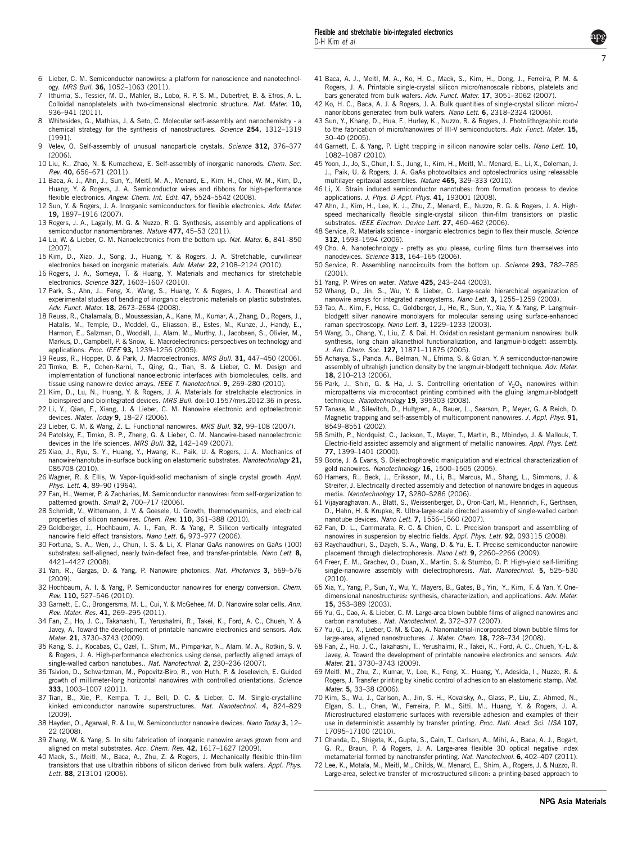- <span id="page-6-0"></span>6 Lieber, C. M. Semiconductor nanowires: a platform for nanoscience and nanotechnology. MRS Bull. 36, 1052-1063 (2011).
- Ithurria, S., Tessier, M. D., Mahler, B., Lobo, R. P. S. M., Dubertret, B. & Efros, A. L. Colloidal nanoplatelets with two-dimensional electronic structure. Nat. Mater. 10, 936–941 (2011).
- Whitesides, G., Mathias, J. & Seto, C. Molecular self-assembly and nanochemistry a chemical strategy for the synthesis of nanostructures. Science 254, 1312–1319 (1991).
- 9 Velev, O. Self-assembly of unusual nanoparticle crystals. Science 312, 376–377 (2006).
- 10 Liu, K., Zhao, N. & Kumacheva, E. Self-assembly of inorganic nanorods. Chem. Soc. Rev. 40, 656–671 (2011).
- 11 Baca, A. J., Ahn, J., Sun, Y., Meitl, M. A., Menard, E., Kim, H., Choi, W. M., Kim, D., Huang, Y. & Rogers, J. A. Semiconductor wires and ribbons for high-performance flexible electronics. Angew. Chem. Int. Edit. 47, 5524-5542 (2008).
- 12 Sun, Y. & Rogers, J. A. Inorganic semiconductors for flexible electronics. Adv. Mater. 19, 1897–1916 (2007).
- 13 Rogers, J. A., Lagally, M. G. & Nuzzo, R. G. Synthesis, assembly and applications of semiconductor nanomembranes. Nature 477, 45-53 (2011).
- 14 Lu, W. & Lieber, C. M. Nanoelectronics from the bottom up. Nat. Mater. 6, 841–850 (2007).
- 15 Kim, D., Xiao, J., Song, J., Huang, Y. & Rogers, J. A. Stretchable, curvilinear electronics based on inorganic materials. Adv. Mater. 22, 2108-2124 (2010).
- 16 Rogers, J. A., Someya, T. & Huang, Y. Materials and mechanics for stretchable electronics. Science 327, 1603–1607 (2010).
- 17 Park, S., Ahn, J., Feng, X., Wang, S., Huang, Y. & Rogers, J. A. Theoretical and experimental studies of bending of inorganic electronic materials on plastic substrates. Adv. Funct. Mater. 18, 2673–2684 (2008).
- 18 Reuss, R., Chalamala, B., Moussessian, A., Kane, M., Kumar, A., Zhang, D., Rogers, J., Hatalis, M., Temple, D., Moddel, G., Eliasson, B., Estes, M., Kunze, J., Handy, E., Harmon, E., Salzman, D., Woodall, J., Alam, M., Murthy, J., Jacobsen, S., Olivier, M., Markus, D., Campbell, P. & Snow, E. Macroelectronics: perspectives on technology and applications. Proc. IEEE 93, 1239-1256 (2005).
- 19 Reuss, R., Hopper, D. & Park, J. Macroelectronics. MRS Bull. 31, 447–450 (2006).
- 20 Timko, B. P., Cohen-Karni, T., Qing, Q., Tian, B. & Lieber, C. M. Design and implementation of functional nanoelectronic interfaces with biomolecules, cells, and tissue using nanowire device arrays. IEEE T. Nanotechnol. 9, 269-280 (2010).
- 21 Kim, D., Lu, N., Huang, Y. & Rogers, J. A. Materials for stretchable electronics in bioinspired and biointegrated devices. MRS Bull. doi:[10.1557/mrs.2012.36](http://dx.doi.org/10.1557/mrs.2012.36) in press.
- 22 Li, Y., Qian, F., Xiang, J. & Lieber, C. M. Nanowire electronic and optoelectronic devices. Mater. Today 9, 18–27 (2006).
- 23 Lieber, C. M. & Wang, Z. L. Functional nanowires. MRS Bull. 32, 99-108 (2007). 24 Patolsky, F., Timko, B. P., Zheng, G. & Lieber, C. M. Nanowire-based nanoelectronic
- devices in the life sciences. MRS Bull. 32, 142-149 (2007). 25 Xiao, J., Ryu, S. Y., Huang, Y., Hwang, K., Paik, U. & Rogers, J. A. Mechanics of
- nanowire/nanotube in-surface buckling on elastomeric substrates. Nanotechnology 21, 085708 (2010). 26 Wagner, R. & Ellis, W. Vapor-liquid-solid mechanism of single crystal growth. Appl.
- Phys. Lett. 4, 89-90 (1964).
- 27 Fan, H., Werner, P. & Zacharias, M. Semiconductor nanowires: from self-organization to patterned growth. Small 2, 700-717 (2006).
- 28 Schmidt, V., Wittemann, J. V. & Goesele, U. Growth, thermodynamics, and electrical properties of silicon nanowires. Chem. Rev. 110, 361-388 (2010).
- 29 Goldberger, J., Hochbaum, A. I., Fan, R. & Yang, P. Silicon vertically integrated nanowire field effect transistors. Nano Lett. 6, 973–977 (2006).
- 30 Fortuna, S. A., Wen, J., Chun, I. S. & Li, X. Planar GaAs nanowires on GaAs (100) substrates: self-aligned, nearly twin-defect free, and transfer-printable. Nano Lett. 8, 4421–4427 (2008).
- 31 Yan, R., Gargas, D. & Yang, P. Nanowire photonics. Nat. Photonics 3, 569–576 (2009).
- 32 Hochbaum, A. I. & Yang, P. Semiconductor nanowires for energy conversion. Chem. Rev. 110, 527–546 (2010).
- 33 Garnett, E. C., Brongersma, M. L., Cui, Y. & McGehee, M. D. Nanowire solar cells. Ann. Rev. Mater. Res. 41, 269–295 (2011).
- 34 Fan, Z., Ho, J. C., Takahashi, T., Yerushalmi, R., Takei, K., Ford, A. C., Chueh, Y. & Javey, A. Toward the development of printable nanowire electronics and sensors. Adv. Mater. 21, 3730–3743 (2009).
- 35 Kang, S. J., Kocabas, C., Ozel, T., Shim, M., Pimparkar, N., Alam, M. A., Rotkin, S. V. & Rogers, J. A. High-performance electronics using dense, perfectly aligned arrays of single-walled carbon nanotubes.. Nat. Nanotechnol. 2, 230-236 (2007).
- 36 Tsivion, D., Schvartzman, M., Popovitz-Biro, R., von Huth, P. & Joselevich, E. Guided growth of millimeter-long horizontal nanowires with controlled orientations. Science 333, 1003–1007 (2011).
- 37 Tian, B., Xie, P., Kempa, T. J., Bell, D. C. & Lieber, C. M. Single-crystalline kinked emiconductor nanowire superstructures. Nat. Nanotechnol. 4, 824–829 (2009).
- 38 Hayden, O., Agarwal, R. & Lu, W. Semiconductor nanowire devices. Nano Today 3, 12-22 (2008).
- 39 Zhang, W. & Yang, S. In situ fabrication of inorganic nanowire arrays grown from and aligned on metal substrates. Acc. Chem. Res. 42, 1617–1627 (2009).
- 40 Mack, S., Meitl, M., Baca, A., Zhu, Z. & Rogers, J. Mechanically flexible thin-film transistors that use ultrathin ribbons of silicon derived from bulk wafers. Appl. Phys. Lett. 88, 213101 (2006).
- 41 Baca, A. J., Meitl, M. A., Ko, H. C., Mack, S., Kim, H., Dong, J., Ferreira, P. M. & Rogers, J. A. Printable single-crystal silicon micro/nanoscale ribbons, platelets and bars generated from bulk wafers. Adv. Funct. Mater. 17, 3051–3062 (2007).
- 42 Ko, H. C., Baca, A. J. & Rogers, J. A. Bulk quantities of single-crystal silicon micro-/ nanoribbons generated from bulk wafers. Nano Lett. 6, 2318–2324 (2006).
- 43 Sun, Y., Khang, D., Hua, F., Hurley, K., Nuzzo, R. & Rogers, J. Photolithographic route to the fabrication of micro/nanowires of III-V semiconductors. Adv. Funct. Mater. 15, 30–40 (2005).
- 44 Garnett, E. & Yang, P. Light trapping in silicon nanowire solar cells. Nano Lett. 10, 1082–1087 (2010).
- 45 Yoon, J., Jo, S., Chun, I. S., Jung, I., Kim, H., Meitl, M., Menard, E., Li, X., Coleman, J. J., Paik, U. & Rogers, J. A. GaAs photovoltaics and optoelectronics using releasable multilayer epitaxial assemblies. Nature 465, 329–333 (2010).
- 46 Li, X. Strain induced semiconductor nanotubes: from formation process to device applications. J. Phys. D Appl. Phys. 41, 193001 (2008).
- 47 Ahn, J., Kim, H., Lee, K. J., Zhu, Z., Menard, E., Nuzzo, R. G. & Rogers, J. A. Highspeed mechanically flexible single-crystal silicon thin-film transistors on plastic substrates. IEEE Electron. Device Lett. 27, 460-462 (2006).
- 48 Service, R. Materials science inorganic electronics begin to flex their muscle. Science 312, 1593–1594 (2006).
- 49 Cho, A. Nanotechnology pretty as you please, curling films turn themselves into nanodevices. Science 313, 164–165 (2006).
- 50 Service, R. Assembling nanocircuits from the bottom up. Science 293, 782–785  $(2001)$
- 51 Yang, P. Wires on water. Nature 425, 243–244 (2003).
- 52 Whang, D., Jin, S., Wu, Y. & Lieber, C. Large-scale hierarchical organization of nanowire arrays for integrated nanosystems. Nano Lett. 3, 1255-1259 (2003).
- 53 Tao, A., Kim, F., Hess, C., Goldberger, J., He, R., Sun, Y., Xia, Y. & Yang, P. Langmuirblodgett silver nanowire monolayers for molecular sensing using surface-enhanced raman spectroscopy. Nano Lett. 3, 1229–1233 (2003).
- 54 Wang, D., Chang, Y., Liu, Z. & Dai, H. Oxidation resistant germanium nanowires: bulk synthesis, long chain alkanethiol functionalization, and langmuir-blodgett assembly. J. Am. Chem. Soc. 127, 11871-11875 (2005).
- 55 Acharya, S., Panda, A., Belman, N., Efrima, S. & Golan, Y. A semiconductor-nanowire assembly of ultrahigh junction density by the langmuir-blodgett technique. Adv. Mater. 18, 210–213 (2006).
- 56 Park, J., Shin, G. & Ha, J. S. Controlling orientation of  $V_2O_5$  nanowires within micropatterns via microcontact printing combined with the gluing langmuir-blodgett technique. Nanotechnology 19, 395303 (2008).
- 57 Tanase, M., Silevitch, D., Hultgren, A., Bauer, L., Searson, P., Meyer, G. & Reich, D. Magnetic trapping and self-assembly of multicomponent nanowires. *J. Appl. Phys.* **91**, 8549–8551 (2002).
- 58 Smith, P., Nordquist, C., Jackson, T., Mayer, T., Martin, B., Mbindyo, J. & Mallouk, T. Electric-field assisted assembly and alignment of metallic nanowires. Appl. Phys. Lett. 77, 1399–1401 (2000).
- 59 Boote, J. & Evans, S. Dielectrophoretic manipulation and electrical characterization of gold nanowires. Nanotechnology 16, 1500-1505 (2005).
- 60 Hamers, R., Beck, J., Eriksson, M., Li, B., Marcus, M., Shang, L., Simmons, J. & Streifer, J. Electrically directed assembly and detection of nanowire bridges in aqueous media. Nanotechnology 17, S280–S286 (2006).
- 61 Vijayaraghavan, A., Blatt, S., Weissenberger, D., Oron-Carl, M., Hennrich, F., Gerthsen, D., Hahn, H. & Krupke, R. Ultra-large-scale directed assembly of single-walled carbon nanotube devices. Nano Lett. 7, 1556–1560 (2007).
- 62 Fan, D. L., Cammarata, R. C. & Chien, C. L. Precision transport and assembling of nanowires in suspension by electric fields. Appl. Phys. Lett. 92, 093115 (2008).
- 63 Raychaudhuri, S., Dayeh, S. A., Wang, D. & Yu, E. T. Precise semiconductor nanowire placement through dielectrophoresis. Nano Lett. 9, 2260-2266 (2009).
- 64 Freer, E. M., Grachev, O., Duan, X., Martin, S. & Stumbo, D. P. High-yield self-limiting single-nanowire assembly with dielectrophoresis. Nat. Nanotechnol. 5, 525-530 (2010).
- 65 Xia, Y., Yang, P., Sun, Y., Wu, Y., Mayers, B., Gates, B., Yin, Y., Kim, F. & Yan, Y. Onedimensional nanostructures: synthesis, characterization, and applications. Adv. Mater. 15, 353–389 (2003).
- 66 Yu, G., Cao, A. & Lieber, C. M. Large-area blown bubble films of aligned nanowires and carbon nanotubes.. Nat. Nanotechnol. 2, 372-377 (2007).
- 67 Yu, G., Li, X., Lieber, C. M. & Cao, A. Nanomaterial-incorporated blown bubble films for large-area, aligned nanostructures. J. Mater. Chem. 18, 728-734 (2008).
- 68 Fan, Z., Ho, J. C., Takahashi, T., Yerushalmi, R., Takei, K., Ford, A. C., Chueh, Y.-L. & Javey, A. Toward the development of printable nanowire electronics and sensors. Adv. Mater. 21, 3730–3743 (2009).
- 69 Meitl, M., Zhu, Z., Kumar, V., Lee, K., Feng, X., Huang, Y., Adesida, I., Nuzzo, R. & Rogers, J. Transfer printing by kinetic control of adhesion to an elastomeric stamp. Nat. Mater. 5, 33–38 (2006).
- 70 Kim, S., Wu, J., Carlson, A., Jin, S. H., Kovalsky, A., Glass, P., Liu, Z., Ahmed, N., Elgan, S. L., Chen, W., Ferreira, P. M., Sitti, M., Huang, Y. & Rogers, J. A. Microstructured elastomeric surfaces with reversible adhesion and examples of their use in deterministic assembly by transfer printing. Proc. Natl. Acad. Sci. USA 107, 17095–17100 (2010).
- 71 Chanda, D., Shigeta, K., Gupta, S., Cain, T., Carlson, A., Mihi, A., Baca, A. J., Bogart, G. R., Braun, P. & Rogers, J. A. Large-area flexible 3D optical negative index metamaterial formed by nanotransfer printing. Nat. Nanotechnol. 6, 402-407 (2011).
- 72 Lee, K., Motala, M., Meitl, M., Childs, W., Menard, E., Shim, A., Rogers, J. & Nuzzo, R. Large-area, selective transfer of microstructured silicon: a printing-based approach to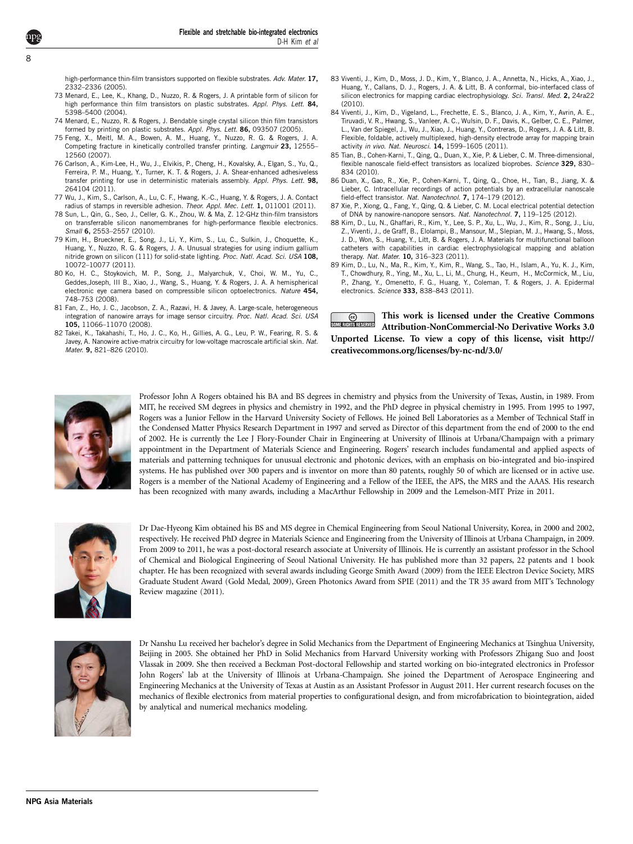high-performance thin-film transistors supported on flexible substrates. Adv. Mater. 17, 2332–2336 (2005).

- 73 Menard, E., Lee, K., Khang, D., Nuzzo, R. & Rogers, J. A printable form of silicon for high performance thin film transistors on plastic substrates. Appl. Phys. Lett. 84, 5398–5400 (2004).
- 74 Menard, E., Nuzzo, R. & Rogers, J. Bendable single crystal silicon thin film transistors formed by printing on plastic substrates. Appl. Phys. Lett. 86, 093507 (2005).
- 75 Feng, X., Meitl, M. A., Bowen, A. M., Huang, Y., Nuzzo, R. G. & Rogers, J. A. Competing fracture in kinetically controlled transfer printing. Langmuir 23, 12555– 12560 (2007).
- 76 Carlson, A., Kim-Lee, H., Wu, J., Elvikis, P., Cheng, H., Kovalsky, A., Elgan, S., Yu, Q., Ferreira, P. M., Huang, Y., Turner, K. T. & Rogers, J. A. Shear-enhanced adhesiveless transfer printing for use in deterministic materials assembly. Appl. Phys. Lett. 98. 264104 (2011).
- 77 Wu, J., Kim, S., Carlson, A., Lu, C. F., Hwang, K.-C., Huang, Y. & Rogers, J. A. Contact radius of stamps in reversible adhesion. Theor. Appl. Mec. Lett. 1, 011001 (2011).
- 78 Sun, L., Qin, G., Seo, J., Celler, G. K., Zhou, W. & Ma, Z. 12-GHz thin-film transistors on transferrable silicon nanomembranes for high-performance flexible electronics. Small **6.** 2553-2557 (2010).
- 79 Kim, H., Brueckner, E., Song, J., Li, Y., Kim, S., Lu, C., Sulkin, J., Choquette, K., Huang, Y., Nuzzo, R. G. & Rogers, J. A. Unusual strategies for using indium gallium nitride grown on silicon (111) for solid-state lighting. Proc. Natl. Acad. Sci. USA 108, 10072–10077 (2011).
- 80 Ko, H. C., Stoykovich, M. P., Song, J., Malyarchuk, V., Choi, W. M., Yu, C., Geddes,Joseph, III B., Xiao, J., Wang, S., Huang, Y. & Rogers, J. A. A hemispherical electronic eye camera based on compressible silicon optoelectronics. Nature 454, 748–753 (2008).
- 81 Fan, Z., Ho, J. C., Jacobson, Z. A., Razavi, H. & Javey, A. Large-scale, heterogeneous integration of nanowire arrays for image sensor circuitry. Proc. Natl. Acad. Sci. USA 105, 11066–11070 (2008).
- 82 Takei, K., Takahashi, T., Ho, J. C., Ko, H., Gillies, A. G., Leu, P. W., Fearing, R. S. & Javey, A. Nanowire active-matrix circuitry for low-voltage macroscale artificial skin. Nat. Mater. 9, 821–826 (2010).
- 83 Viventi, J., Kim, D., Moss, J. D., Kim, Y., Blanco, J. A., Annetta, N., Hicks, A., Xiao, J., Huang, Y., Callans, D. J., Rogers, J. A. & Litt, B. A conformal, bio-interfaced class of silicon electronics for mapping cardiac electrophysiology. Sci. Transl. Med. 2, 24ra22 (2010).
- 84 Viventi, J., Kim, D., Vigeland, L., Frechette, E. S., Blanco, J. A., Kim, Y., Avrin, A. E., Tiruvadi, V. R., Hwang, S., Vanleer, A. C., Wulsin, D. F., Davis, K., Gelber, C. E., Palmer, L., Van der Spiegel, J., Wu, J., Xiao, J., Huang, Y., Contreras, D., Rogers, J. A. & Litt, B. Flexible, foldable, actively multiplexed, high-density electrode array for mapping brain activity in vivo. Nat. Neurosci. 14, 1599-1605 (2011).
- 85 Tian, B., Cohen-Karni, T., Qing, Q., Duan, X., Xie, P. & Lieber, C. M. Three-dimensional, flexible nanoscale field-effect transistors as localized bioprobes. Science 329, 830– 834 (2010).
- 86 Duan, X., Gao, R., Xie, P., Cohen-Karni, T., Qing, Q., Choe, H., Tian, B., Jiang, X. & Lieber, C. Intracellular recordings of action potentials by an extracellular nanoscale field-effect transistor. Nat. Nanotechnol. 7, 174–179 (2012).
- 87 Xie, P., Xiong, Q., Fang, Y., Qing, Q. & Lieber, C. M. Local electrical potential detection of DNA by nanowire-nanopore sensors. Nat. Nanotechnol. 7, 119–125 (2012).
- 88 Kim, D., Lu, N., Ghaffari, R., Kim, Y., Lee, S. P., Xu, L., Wu, J., Kim, R., Song, J., Liu, Z., Viventi, J., de Graff, B., Elolampi, B., Mansour, M., Slepian, M., J., Hwang, S., Moss, J. D., Won, S., Huang, Y., Litt, B. & Rogers, J. A. Materials for multifunctional balloon catheters with capabilities in cardiac electrophysiological mapping and ablation therapy. Nat. Mater. 10, 316–323 (2011).
- 89 Kim, D., Lu, N., Ma, R., Kim, Y., Kim, R., Wang, S., Tao, H., Islam, A., Yu, K. J., Kim, T., Chowdhury, R., Ying, M., Xu, L., Li, M., Chung, H., Keum, H., McCormick, M., Liu, P., Zhang, Y., Omenetto, F. G., Huang, Y., Coleman, T. & Rogers, J. A. Epidermal electronics. Science 333, 838-843 (2011).

This work is licensed under the Creative Commons  $\epsilon$ **ME RIGHTS RESERVED** Attribution-NonCommercial-No Derivative Works 3.0

Unported License. To view a copy of this license, visit http:// creativecommons.org/licenses/by-nc-nd/3.0/



Professor John A Rogers obtained his BA and BS degrees in chemistry and physics from the University of Texas, Austin, in 1989. From MIT, he received SM degrees in physics and chemistry in 1992, and the PhD degree in physical chemistry in 1995. From 1995 to 1997, Rogers was a Junior Fellow in the Harvard University Society of Fellows. He joined Bell Laboratories as a Member of Technical Staff in the Condensed Matter Physics Research Department in 1997 and served as Director of this department from the end of 2000 to the end of 2002. He is currently the Lee J Flory-Founder Chair in Engineering at University of Illinois at Urbana/Champaign with a primary appointment in the Department of Materials Science and Engineering. Rogers' research includes fundamental and applied aspects of materials and patterning techniques for unusual electronic and photonic devices, with an emphasis on bio-integrated and bio-inspired systems. He has published over 300 papers and is inventor on more than 80 patents, roughly 50 of which are licensed or in active use. Rogers is a member of the National Academy of Engineering and a Fellow of the IEEE, the APS, the MRS and the AAAS. His research has been recognized with many awards, including a MacArthur Fellowship in 2009 and the Lemelson-MIT Prize in 2011.



Dr Dae-Hyeong Kim obtained his BS and MS degree in Chemical Engineering from Seoul National University, Korea, in 2000 and 2002, respectively. He received PhD degree in Materials Science and Engineering from the University of Illinois at Urbana Champaign, in 2009. From 2009 to 2011, he was a post-doctoral research associate at University of Illinois. He is currently an assistant professor in the School of Chemical and Biological Engineering of Seoul National University. He has published more than 32 papers, 22 patents and 1 book chapter. He has been recognized with several awards including George Smith Award (2009) from the IEEE Electron Device Society, MRS Graduate Student Award (Gold Medal, 2009), Green Photonics Award from SPIE (2011) and the TR 35 award from MIT's Technology Review magazine (2011).



Dr Nanshu Lu received her bachelor's degree in Solid Mechanics from the Department of Engineering Mechanics at Tsinghua University, Beijing in 2005. She obtained her PhD in Solid Mechanics from Harvard University working with Professors Zhigang Suo and Joost Vlassak in 2009. She then received a Beckman Post-doctoral Fellowship and started working on bio-integrated electronics in Professor John Rogers' lab at the University of Illinois at Urbana-Champaign. She joined the Department of Aerospace Engineering and Engineering Mechanics at the University of Texas at Austin as an Assistant Professor in August 2011. Her current research focuses on the mechanics of flexible electronics from material properties to configurational design, and from microfabrication to biointegration, aided by analytical and numerical mechanics modeling.

<span id="page-7-0"></span>8